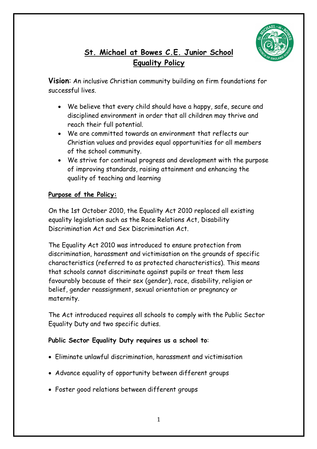

# **St. Michael at Bowes C.E. Junior School Equality Policy**

**Vision**: An inclusive Christian community building on firm foundations for successful lives.

- We believe that every child should have a happy, safe, secure and disciplined environment in order that all children may thrive and reach their full potential.
- We are committed towards an environment that reflects our Christian values and provides equal opportunities for all members of the school community.
- We strive for continual progress and development with the purpose of improving standards, raising attainment and enhancing the quality of teaching and learning

# **Purpose of the Policy:**

On the 1st October 2010, the Equality Act 2010 replaced all existing equality legislation such as the Race Relations Act, Disability Discrimination Act and Sex Discrimination Act.

The Equality Act 2010 was introduced to ensure protection from discrimination, harassment and victimisation on the grounds of specific characteristics (referred to as protected characteristics). This means that schools cannot discriminate against pupils or treat them less favourably because of their sex (gender), race, disability, religion or belief, gender reassignment, sexual orientation or pregnancy or maternity.

The Act introduced requires all schools to comply with the Public Sector Equality Duty and two specific duties.

# **Public Sector Equality Duty requires us a school to**:

- Eliminate unlawful discrimination, harassment and victimisation
- Advance equality of opportunity between different groups
- Foster good relations between different groups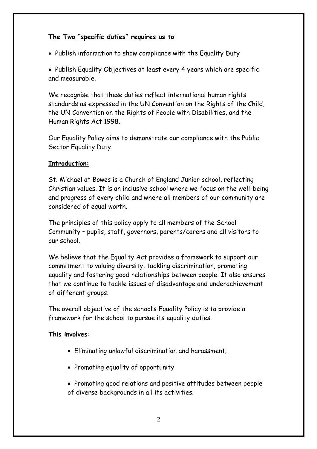# **The Two "specific duties" requires us to**:

• Publish information to show compliance with the Equality Duty

• Publish Equality Objectives at least every 4 years which are specific and measurable.

We recognise that these duties reflect international human rights standards as expressed in the UN Convention on the Rights of the Child, the UN Convention on the Rights of People with Disabilities, and the Human Rights Act 1998.

Our Equality Policy aims to demonstrate our compliance with the Public Sector Equality Duty.

# **Introduction:**

St. Michael at Bowes is a Church of England Junior school, reflecting Christian values. It is an inclusive school where we focus on the well-being and progress of every child and where all members of our community are considered of equal worth.

The principles of this policy apply to all members of the School Community – pupils, staff, governors, parents/carers and all visitors to our school.

We believe that the Equality Act provides a framework to support our commitment to valuing diversity, tackling discrimination, promoting equality and fostering good relationships between people. It also ensures that we continue to tackle issues of disadvantage and underachievement of different groups.

The overall objective of the school's Equality Policy is to provide a framework for the school to pursue its equality duties.

#### **This involves**:

- Eliminating unlawful discrimination and harassment;
- Promoting equality of opportunity
- Promoting good relations and positive attitudes between people of diverse backgrounds in all its activities.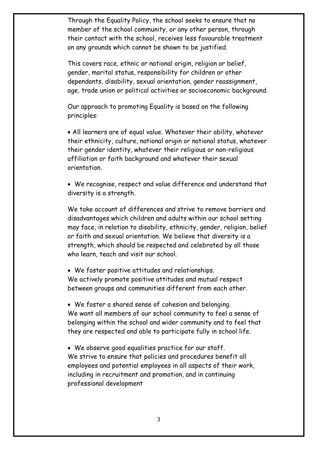Through the Equality Policy, the school seeks to ensure that no member of the school community, or any other person, through their contact with the school, receives less favourable treatment on any grounds which cannot be shown to be justified.

This covers race, ethnic or national origin, religion or belief, gender, marital status, responsibility for children or other dependants, disability, sexual orientation, gender reassignment, age, trade union or political activities or socioeconomic background.

Our approach to promoting Equality is based on the following principles:

• All learners are of equal value. Whatever their ability, whatever their ethnicity, culture, national origin or national status, whatever their gender identity, whatever their religious or non-religious affiliation or faith background and whatever their sexual orientation.

• We recognise, respect and value difference and understand that diversity is a strength.

We take account of differences and strive to remove barriers and disadvantages which children and adults within our school setting may face, in relation to disability, ethnicity, gender, religion, belief or faith and sexual orientation. We believe that diversity is a strength, which should be respected and celebrated by all those who learn, teach and visit our school.

• We foster positive attitudes and relationships. We actively promote positive attitudes and mutual respect between groups and communities different from each other.

• We foster a shared sense of cohesion and belonging. We want all members of our school community to feel a sense of belonging within the school and wider community and to feel that they are respected and able to participate fully in school life.

• We observe good equalities practice for our staff. We strive to ensure that policies and procedures benefit all employees and potential employees in all aspects of their work, including in recruitment and promotion, and in continuing professional development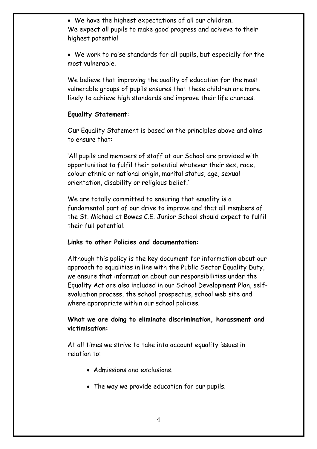• We have the highest expectations of all our children. We expect all pupils to make good progress and achieve to their highest potential

• We work to raise standards for all pupils, but especially for the most vulnerable.

We believe that improving the quality of education for the most vulnerable groups of pupils ensures that these children are more likely to achieve high standards and improve their life chances.

#### **Equality Statement**:

Our Equality Statement is based on the principles above and aims to ensure that:

'All pupils and members of staff at our School are provided with opportunities to fulfil their potential whatever their sex, race, colour ethnic or national origin, marital status, age, sexual orientation, disability or religious belief.'

We are totally committed to ensuring that equality is a fundamental part of our drive to improve and that all members of the St. Michael at Bowes C.E. Junior School should expect to fulfil their full potential.

#### **Links to other Policies and documentation:**

Although this policy is the key document for information about our approach to equalities in line with the Public Sector Equality Duty, we ensure that information about our responsibilities under the Equality Act are also included in our School Development Plan, selfevaluation process, the school prospectus, school web site and where appropriate within our school policies.

# **What we are doing to eliminate discrimination, harassment and victimisation:**

At all times we strive to take into account equality issues in relation to:

- Admissions and exclusions.
- The way we provide education for our pupils.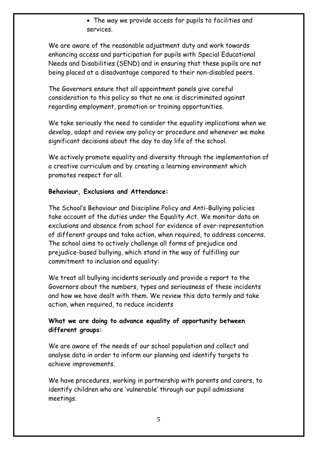• The way we provide access for pupils to facilities and services.

We are aware of the reasonable adjustment duty and work towards enhancing access and participation for pupils with Special Educational Needs and Disabilities (SEND) and in ensuring that these pupils are not being placed at a disadvantage compared to their non-disabled peers.

The Governors ensure that all appointment panels give careful consideration to this policy so that no one is discriminated against regarding employment, promotion or training opportunities.

We take seriously the need to consider the equality implications when we develop, adapt and review any policy or procedure and whenever we make significant decisions about the day to day life of the school.

We actively promote equality and diversity through the implementation of a creative curriculum and by creating a learning environment which promotes respect for all.

# **Behaviour, Exclusions and Attendance:**

The School's Behaviour and Discipline Policy and Anti-Bullying policies take account of the duties under the Equality Act. We monitor data on exclusions and absence from school for evidence of over-representation of different groups and take action, when required, to address concerns. The school aims to actively challenge all forms of prejudice and prejudice-based bullying, which stand in the way of fulfilling our commitment to inclusion and equality:

We treat all bullying incidents seriously and provide a report to the Governors about the numbers, types and seriousness of these incidents and how we have dealt with them. We review this data termly and take action, when required, to reduce incidents

# **What we are doing to advance equality of opportunity between different groups:**

We are aware of the needs of our school population and collect and analyse data in order to inform our planning and identify targets to achieve improvements.

We have procedures, working in partnership with parents and carers, to identify children who are 'vulnerable' through our pupil admissions meetings.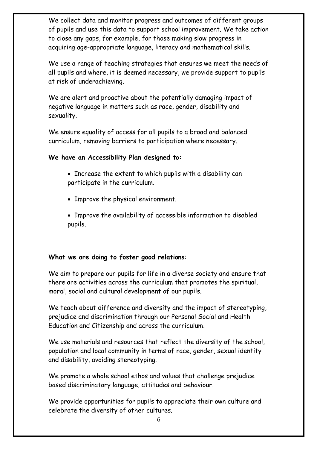We collect data and monitor progress and outcomes of different groups of pupils and use this data to support school improvement. We take action to close any gaps, for example, for those making slow progress in acquiring age-appropriate language, literacy and mathematical skills.

We use a range of teaching strategies that ensures we meet the needs of all pupils and where, it is deemed necessary, we provide support to pupils at risk of underachieving.

We are alert and proactive about the potentially damaging impact of negative language in matters such as race, gender, disability and sexuality.

We ensure equality of access for all pupils to a broad and balanced curriculum, removing barriers to participation where necessary.

#### **We have an Accessibility Plan designed to:**

- Increase the extent to which pupils with a disability can participate in the curriculum.
- Improve the physical environment.
- Improve the availability of accessible information to disabled pupils.

# **What we are doing to foster good relations**:

We aim to prepare our pupils for life in a diverse society and ensure that there are activities across the curriculum that promotes the spiritual, moral, social and cultural development of our pupils.

We teach about difference and diversity and the impact of stereotyping, prejudice and discrimination through our Personal Social and Health Education and Citizenship and across the curriculum.

We use materials and resources that reflect the diversity of the school, population and local community in terms of race, gender, sexual identity and disability, avoiding stereotyping.

We promote a whole school ethos and values that challenge prejudice based discriminatory language, attitudes and behaviour.

We provide opportunities for pupils to appreciate their own culture and celebrate the diversity of other cultures.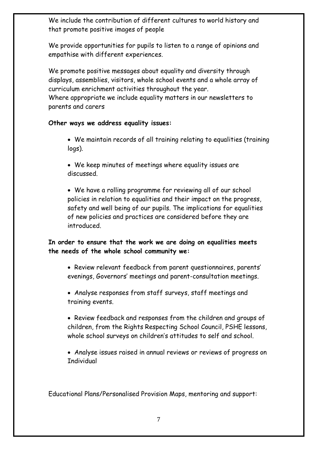We include the contribution of different cultures to world history and that promote positive images of people

We provide opportunities for pupils to listen to a range of opinions and empathise with different experiences.

We promote positive messages about equality and diversity through displays, assemblies, visitors, whole school events and a whole array of curriculum enrichment activities throughout the year. Where appropriate we include equality matters in our newsletters to parents and carers

#### **Other ways we address equality issues:**

- We maintain records of all training relating to equalities (training logs).
- We keep minutes of meetings where equality issues are discussed.

• We have a rolling programme for reviewing all of our school policies in relation to equalities and their impact on the progress, safety and well being of our pupils. The implications for equalities of new policies and practices are considered before they are introduced.

# **In order to ensure that the work we are doing on equalities meets the needs of the whole school community we:**

- Review relevant feedback from parent questionnaires, parents' evenings, Governors' meetings and parent-consultation meetings.
- Analyse responses from staff surveys, staff meetings and training events.
- Review feedback and responses from the children and groups of children, from the Rights Respecting School Council, PSHE lessons, whole school surveys on children's attitudes to self and school.
- Analyse issues raised in annual reviews or reviews of progress on **Individual**

Educational Plans/Personalised Provision Maps, mentoring and support: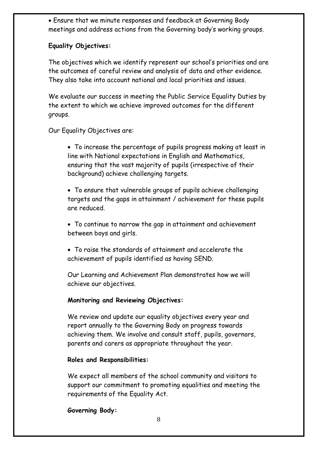• Ensure that we minute responses and feedback at Governing Body meetings and address actions from the Governing body's working groups.

# **Equality Objectives:**

The objectives which we identify represent our school's priorities and are the outcomes of careful review and analysis of data and other evidence. They also take into account national and local priorities and issues.

We evaluate our success in meeting the Public Service Equality Duties by the extent to which we achieve improved outcomes for the different groups.

Our Equality Objectives are:

• To increase the percentage of pupils progress making at least in line with National expectations in English and Mathematics, ensuring that the vast majority of pupils (irrespective of their background) achieve challenging targets.

• To ensure that vulnerable groups of pupils achieve challenging targets and the gaps in attainment / achievement for these pupils are reduced.

- To continue to narrow the gap in attainment and achievement between boys and girls.
- To raise the standards of attainment and accelerate the achievement of pupils identified as having SEND.

Our Learning and Achievement Plan demonstrates how we will achieve our objectives.

# **Monitoring and Reviewing Objectives:**

We review and update our equality objectives every year and report annually to the Governing Body on progress towards achieving them. We involve and consult staff, pupils, governors, parents and carers as appropriate throughout the year.

#### **Roles and Responsibilities:**

We expect all members of the school community and visitors to support our commitment to promoting equalities and meeting the requirements of the Equality Act.

**Governing Body:**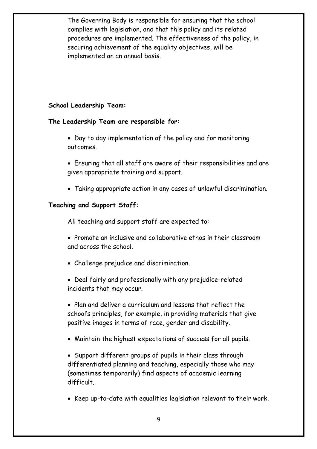The Governing Body is responsible for ensuring that the school complies with legislation, and that this policy and its related procedures are implemented. The effectiveness of the policy, in securing achievement of the equality objectives, will be implemented on an annual basis.

# **School Leadership Team:**

#### **The Leadership Team are responsible for:**

- Day to day implementation of the policy and for monitoring outcomes.
- Ensuring that all staff are aware of their responsibilities and are given appropriate training and support.
- Taking appropriate action in any cases of unlawful discrimination.

#### **Teaching and Support Staff:**

All teaching and support staff are expected to:

- Promote an inclusive and collaborative ethos in their classroom and across the school.
- Challenge prejudice and discrimination.
- Deal fairly and professionally with any prejudice-related incidents that may occur.
- Plan and deliver a curriculum and lessons that reflect the school's principles, for example, in providing materials that give positive images in terms of race, gender and disability.
- Maintain the highest expectations of success for all pupils.
- Support different groups of pupils in their class through differentiated planning and teaching, especially those who may (sometimes temporarily) find aspects of academic learning difficult.
- Keep up-to-date with equalities legislation relevant to their work.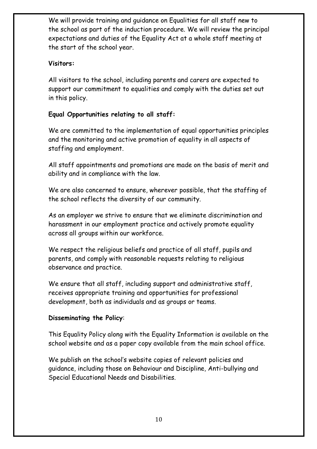We will provide training and guidance on Equalities for all staff new to the school as part of the induction procedure. We will review the principal expectations and duties of the Equality Act at a whole staff meeting at the start of the school year.

# **Visitors:**

All visitors to the school, including parents and carers are expected to support our commitment to equalities and comply with the duties set out in this policy.

# **Equal Opportunities relating to all staff:**

We are committed to the implementation of equal opportunities principles and the monitoring and active promotion of equality in all aspects of staffing and employment.

All staff appointments and promotions are made on the basis of merit and ability and in compliance with the law.

We are also concerned to ensure, wherever possible, that the staffing of the school reflects the diversity of our community.

As an employer we strive to ensure that we eliminate discrimination and harassment in our employment practice and actively promote equality across all groups within our workforce.

We respect the religious beliefs and practice of all staff, pupils and parents, and comply with reasonable requests relating to religious observance and practice.

We ensure that all staff, including support and administrative staff, receives appropriate training and opportunities for professional development, both as individuals and as groups or teams.

# **Disseminating the Policy**:

This Equality Policy along with the Equality Information is available on the school website and as a paper copy available from the main school office.

We publish on the school's website copies of relevant policies and guidance, including those on Behaviour and Discipline, Anti-bullying and Special Educational Needs and Disabilities.